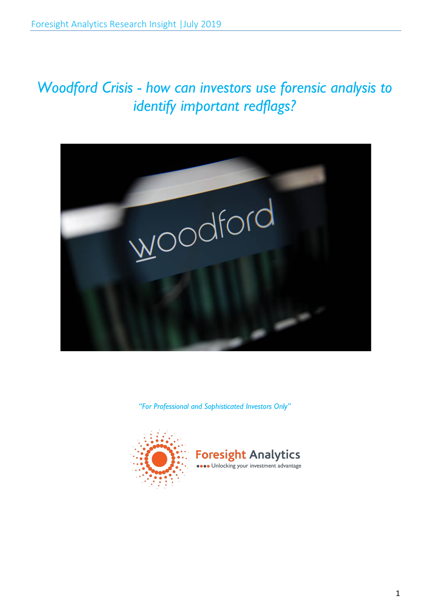# *Woodford Crisis - how can investors use forensic analysis to identify important redflags?*



*"For Professional and Sophisticated Investors Only"*



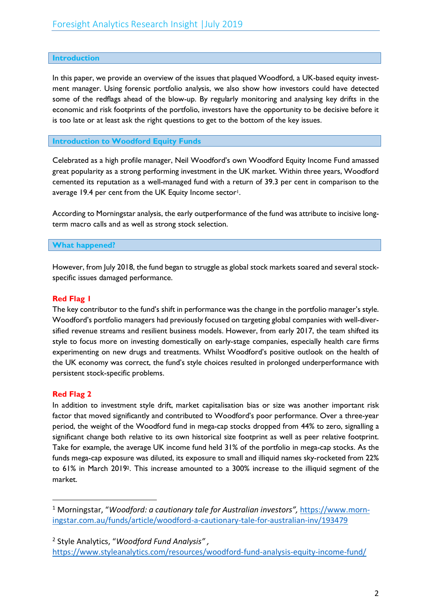## **Introduction**

In this paper, we provide an overview of the issues that plaqued Woodford, a UK-based equity investment manager. Using forensic portfolio analysis, we also show how investors could have detected some of the redflags ahead of the blow-up. By regularly monitoring and analysing key drifts in the economic and risk footprints of the portfolio, investors have the opportunity to be decisive before it is too late or at least ask the right questions to get to the bottom of the key issues.

### **Introduction to Woodford Equity Funds**

Celebrated as a high profile manager, Neil Woodford's own Woodford Equity Income Fund amassed great popularity as a strong performing investment in the UK market. Within three years, Woodford cemented its reputation as a well-managed fund with a return of 39.3 per cent in comparison to the average 19.4 per cent from the UK Equity Income sector<sup>1</sup>.

According to Morningstar analysis, the early outperformance of the fund was attribute to incisive longterm macro calls and as well as strong stock selection.

### **What happened?**

However, from July 2018, the fund began to struggle as global stock markets soared and several stockspecific issues damaged performance.

## **Red Flag 1**

The key contributor to the fund's shift in performance was the change in the portfolio manager's style. Woodford's portfolio managers had previously focused on targeting global companies with well-diversified revenue streams and resilient business models. However, from early 2017, the team shifted its style to focus more on investing domestically on early-stage companies, especially health care firms experimenting on new drugs and treatments. Whilst Woodford's positive outlook on the health of the UK economy was correct, the fund's style choices resulted in prolonged underperformance with persistent stock-specific problems.

### **Red Flag 2**

In addition to investment style drift, market capitalisation bias or size was another important risk factor that moved significantly and contributed to Woodford's poor performance. Over a three-year period, the weight of the Woodford fund in mega-cap stocks dropped from 44% to zero, signalling a significant change both relative to its own historical size footprint as well as peer relative footprint. Take for example, the average UK income fund held 31% of the portfolio in mega-cap stocks. As the funds mega-cap exposure was diluted, its exposure to small and illiquid names sky-rocketed from 22% to 61% in March 20192. This increase amounted to a 300% increase to the illiquid segment of the market.

 <sup>1</sup> Morningstar, "*Woodford: a cautionary tale for Australian investors",* https://www.morningstar.com.au/funds/article/woodford-a-cautionary-tale-for-australian-inv/193479

<sup>2</sup> Style Analytics, "*Woodford Fund Analysis" ,* https://www.styleanalytics.com/resources/woodford-fund-analysis-equity-income-fund/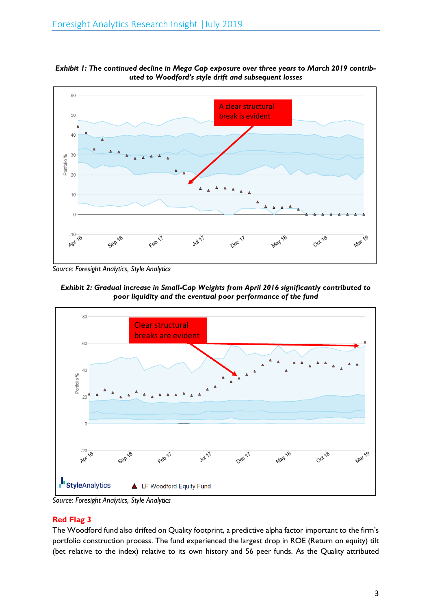

*Exhibit 1: The continued decline in Mega Cap exposure over three years to March 2019 contributed to Woodford's style drift and subsequent losses*

*Source: Foresight Analytics, Style Analytics*





*Source: Foresight Analytics, Style Analytics*

# **Red Flag 3**

The Woodford fund also drifted on Quality footprint, a predictive alpha factor important to the firm's portfolio construction process. The fund experienced the largest drop in ROE (Return on equity) tilt (bet relative to the index) relative to its own history and 56 peer funds. As the Quality attributed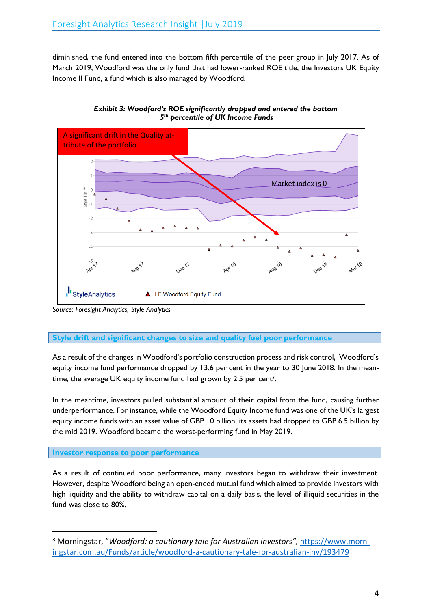diminished, the fund entered into the bottom fifth percentile of the peer group in July 2017. As of March 2019, Woodford was the only fund that had lower-ranked ROE title, the Investors UK Equity Income II Fund, a fund which is also managed by Woodford.



*Exhibit 3: Woodford's ROE significantly dropped and entered the bottom 5th percentile of UK Income Funds*

*Source: Foresight Analytics, Style Analytics*

# **Style drift and significant changes to size and quality fuel poor performance**

As a result of the changes in Woodford's portfolio construction process and risk control, Woodford's equity income fund performance dropped by 13.6 per cent in the year to 30 June 2018. In the meantime, the average UK equity income fund had grown by 2.5 per cent<sup>3</sup>.

In the meantime, investors pulled substantial amount of their capital from the fund, causing further underperformance. For instance, while the Woodford Equity Income fund was one of the UK's largest equity income funds with an asset value of GBP 10 billion, its assets had dropped to GBP 6.5 billion by the mid 2019. Woodford became the worst-performing fund in May 2019.

# **Investor response to poor performance**

As a result of continued poor performance, many investors began to withdraw their investment. However, despite Woodford being an open-ended mutual fund which aimed to provide investors with high liquidity and the ability to withdraw capital on a daily basis, the level of illiquid securities in the fund was close to 80%.

 <sup>3</sup> Morningstar, "*Woodford: a cautionary tale for Australian investors",* https://www.morningstar.com.au/Funds/article/woodford-a-cautionary-tale-for-australian-inv/193479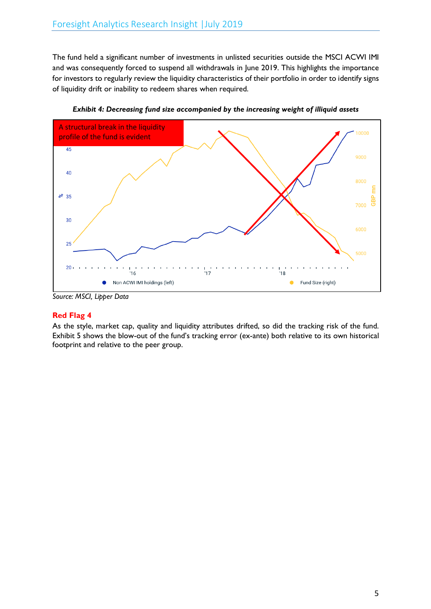The fund held a significant number of investments in unlisted securities outside the MSCI ACWI IMI and was consequently forced to suspend all withdrawals in June 2019. This highlights the importance for investors to regularly review the liquidity characteristics of their portfolio in order to identify signs of liquidity drift or inability to redeem shares when required.



*Exhibit 4: Decreasing fund size accompanied by the increasing weight of illiquid assets*

*Source: MSCI, Lipper Data*

# **Red Flag 4**

As the style, market cap, quality and liquidity attributes drifted, so did the tracking risk of the fund. Exhibit 5 shows the blow-out of the fund's tracking error (ex-ante) both relative to its own historical footprint and relative to the peer group.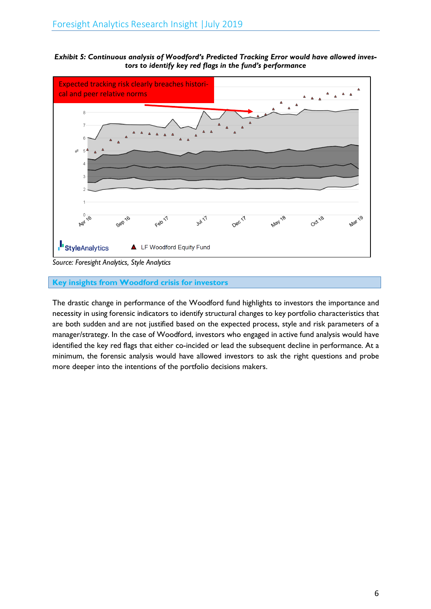*Exhibit 5: Continuous analysis of Woodford's Predicted Tracking Error would have allowed investors to identify key red flags in the fund's performance*



*Source: Foresight Analytics, Style Analytics*

# **Key insights from Woodford crisis for investors**

The drastic change in performance of the Woodford fund highlights to investors the importance and necessity in using forensic indicators to identify structural changes to key portfolio characteristics that are both sudden and are not justified based on the expected process, style and risk parameters of a manager/strategy. In the case of Woodford, investors who engaged in active fund analysis would have identified the key red flags that either co-incided or lead the subsequent decline in performance. At a minimum, the forensic analysis would have allowed investors to ask the right questions and probe more deeper into the intentions of the portfolio decisions makers.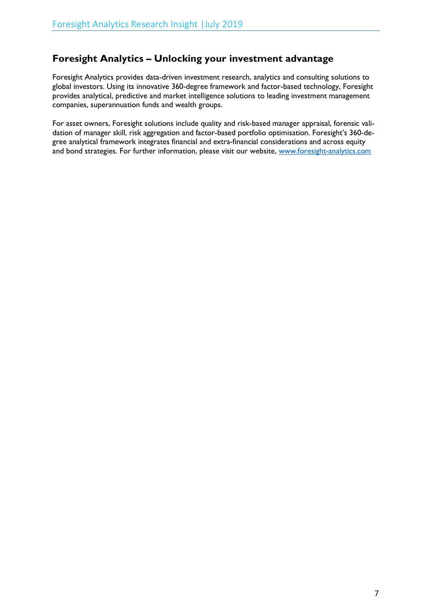# **Foresight Analytics – Unlocking your investment advantage**

Foresight Analytics provides data-driven investment research, analytics and consulting solutions to global investors. Using its innovative 360-degree framework and factor-based technology, Foresight provides analytical, predictive and market intelligence solutions to leading investment management companies, superannuation funds and wealth groups.

For asset owners, Foresight solutions include quality and risk-based manager appraisal, forensic validation of manager skill, risk aggregation and factor-based portfolio optimisation. Foresight's 360-degree analytical framework integrates financial and extra-financial considerations and across equity and bond strategies. For further information, please visit our website, www.foresight-analytics.com